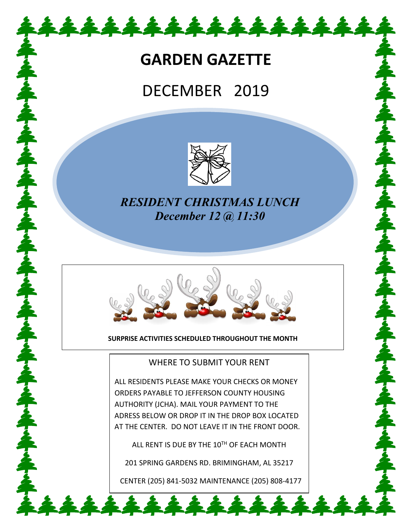## **GARDEN GAZETTE**

\*\*\*\*\*\*\*\*\*\*\*\*\*\*

# DECEMBER 2019



### *RESIDENT CHRISTMAS LUNCH December 12 @ 11:30*



**SURPRISE ACTIVITIES SCHEDULED THROUGHOUT THE MONTH**

### WHERE TO SUBMIT YOUR RENT

ALL RESIDENTS PLEASE MAKE YOUR CHECKS OR MONEY ORDERS PAYABLE TO JEFFERSON COUNTY HOUSING AUTHORITY (JCHA). MAIL YOUR PAYMENT TO THE ADRESS BELOW OR DROP IT IN THE DROP BOX LOCATED AT THE CENTER. DO NOT LEAVE IT IN THE FRONT DOOR.

ALL RENT IS DUE BY THE 10TH OF EACH MONTH

201 SPRING GARDENS RD. BRIMINGHAM, AL 35217

CENTER (205) 841-5032 MAINTENANCE (205) 808-4177

222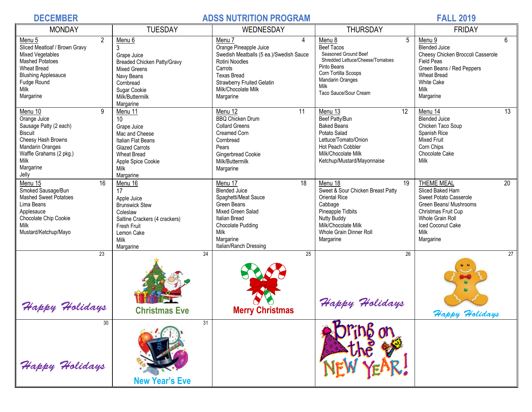### **DECEMBER ADSS NUTRITION PROGRAM FALL 2019**

| <b>MONDAY</b>                                                                                                                                                                             | <b>TUESDAY</b>                                                                                                                                                                | WEDNESDAY                                                                                                                                                                                                    | <b>THURSDAY</b>                                                                                                                                                                                        | <b>FRIDAY</b>                                                                                                                                                                                     |  |
|-------------------------------------------------------------------------------------------------------------------------------------------------------------------------------------------|-------------------------------------------------------------------------------------------------------------------------------------------------------------------------------|--------------------------------------------------------------------------------------------------------------------------------------------------------------------------------------------------------------|--------------------------------------------------------------------------------------------------------------------------------------------------------------------------------------------------------|---------------------------------------------------------------------------------------------------------------------------------------------------------------------------------------------------|--|
| 2<br>Menu 5<br>Sliced Meatloaf / Brown Gravy<br><b>Mixed Vegetables</b><br><b>Mashed Potatoes</b><br><b>Wheat Bread</b><br><b>Blushing Applesauce</b><br>Fudge Round<br>Milk<br>Margarine | Menu <sub>6</sub><br>3<br>Grape Juice<br><b>Breaded Chicken Patty/Gravy</b><br><b>Mixed Greens</b><br>Navy Beans<br>Cornbread<br>Sugar Cookie<br>Milk/Buttermilk<br>Margarine | Menu 7<br>4<br>Orange Pineapple Juice<br>Swedish Meatballs (5 ea.)/Swedish Sauce<br>Rotini Noodles<br>Carrots<br><b>Texas Bread</b><br><b>Strawberry Fruited Gelatin</b><br>Milk/Chocolate Milk<br>Margarine | $5\phantom{.0}$<br>Menu 8<br><b>Beef Tacos</b><br>Seasoned Ground Beef<br>Shredded Lettuce/Cheese/Tomatoes<br>Pinto Beans<br>Corn Tortilla Scoops<br>Mandarin Oranges<br>Milk<br>Taco Sauce/Sour Cream | 6<br>Menu 9<br><b>Blended Juice</b><br>Cheesy Chicken Broccoli Casserole<br><b>Field Peas</b><br>Green Beans / Red Peppers<br><b>Wheat Bread</b><br><b>White Cake</b><br>Milk<br>Margarine        |  |
| 9<br>Menu 10<br>Orange Juice<br>Sausage Patty (2 each)<br><b>Biscuit</b><br>Cheesy Hash Browns<br><b>Mandarin Oranges</b><br>Waffle Grahams (2 pkg.)<br>Milk<br>Margarine<br>Jelly        | Menu 11<br>10<br>Grape Juice<br>Mac and Cheese<br>Italian Flat Beans<br><b>Glazed Carrots</b><br><b>Wheat Bread</b><br>Apple Spice Cookie<br>Milk<br>Margarine                | 11<br>Menu 12<br><b>BBQ Chicken Drum</b><br><b>Collard Greens</b><br>Creamed Corn<br>Cornbread<br>Pears<br>Gingerbread Cookie<br>Milk/Buttermilk<br>Margarine                                                | 12<br>Menu 13<br>Beef Patty/Bun<br><b>Baked Beans</b><br>Potato Salad<br>Lettuce/Tomato/Onion<br>Hot Peach Cobbler<br>Milk/Chocolate Milk<br>Ketchup/Mustard/Mayonnaise                                | 13<br>Menu 14<br><b>Blended Juice</b><br>Chicken Taco Soup<br>Spanish Rice<br><b>Mixed Fruit</b><br>Corn Chips<br>Chocolate Cake<br>Milk                                                          |  |
| $\overline{16}$<br>Menu 15<br>Smoked Sausage/Bun<br><b>Mashed Sweet Potatoes</b><br>Lima Beans<br>Applesauce<br>Chocolate Chip Cookie<br>Milk<br>Mustard/Ketchup/Mayo                     | Menu 16<br>17<br>Apple Juice<br><b>Brunswick Stew</b><br>Coleslaw<br>Saltine Crackers (4 crackers)<br>Fresh Fruit<br>Lemon Cake<br>Milk<br>Margarine                          | Menu 17<br>18<br><b>Blended Juice</b><br>Spaghetti/Meat Sauce<br>Green Beans<br>Mixed Green Salad<br>Italian Bread<br>Chocolate Pudding<br>Milk<br>Margarine<br>Italian/Ranch Dressing                       | Menu 18<br>19<br>Sweet & Sour Chicken Breast Patty<br><b>Oriental Rice</b><br>Cabbage<br>Pineapple Tidbits<br><b>Nutty Buddy</b><br>Milk/Chocolate Milk<br>Whole Grain Dinner Roll<br>Margarine        | <b>THEME MEAL</b><br>$\overline{20}$<br>Sliced Baked Ham<br>Sweet Potato Casserole<br>Green Beans/ Mushrooms<br>Christmas Fruit Cup<br>Whole Grain Roll<br>Iced Coconut Cake<br>Milk<br>Margarine |  |
| $\overline{23}$<br>Happy Holidays                                                                                                                                                         | 24<br><b>Christmas Eve</b>                                                                                                                                                    | 25<br><b>Merry Christmas</b>                                                                                                                                                                                 | 26<br>Happy Holidays                                                                                                                                                                                   | $\overline{27}$<br>Happy Holidays                                                                                                                                                                 |  |
| 30<br>Happy Holidays                                                                                                                                                                      | 31<br><b>New Year's Eve</b>                                                                                                                                                   |                                                                                                                                                                                                              | n                                                                                                                                                                                                      |                                                                                                                                                                                                   |  |